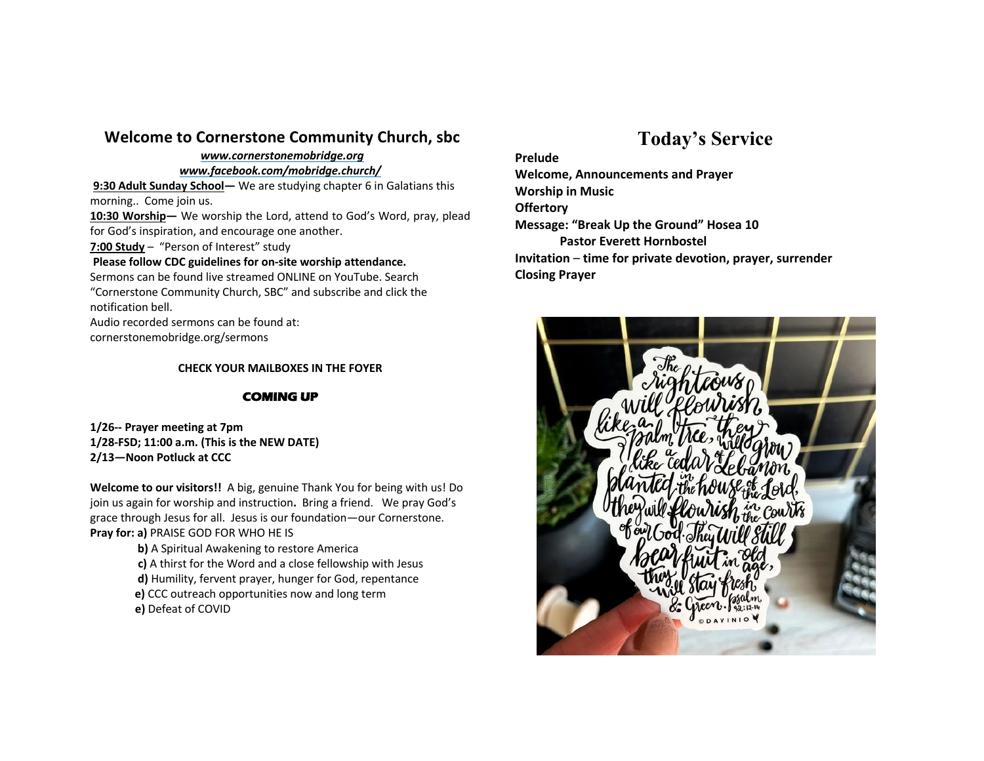# **Welcome to Cornerstone Community Church, sbc**

#### *www.cornerstonemobridge.org*

#### *www.facebook.com/mobridge.church/*

**9:30 Adult Sunday School—** We are studying chapter 6 in Galatians this morning.. Come join us.

**10:30 Worship—** We worship the Lord, attend to God's Word, pray, plead for God's inspiration, and encourage one another.

**7:00 Study** – "Person of Interest" study

### **Please follow CDC guidelines for on-site worship attendance.**

Sermons can be found live streamed ONLINE on YouTube. Search "Cornerstone Community Church, SBC" and subscribe and click the notification bell.

Audio recorded sermons can be found at:

cornerstonemobridge.org/sermons

## **CHECK YOUR MAILBOXES IN THE FOYER**

## **COMING UP**

**1/26-- Prayer meeting at 7pm 1/28-FSD; 11:00 a.m. (This is the NEW DATE) 2/13—Noon Potluck at CCC**

**Welcome to our visitors!!** A big, genuine Thank You for being with us! Do join us again for worship and instruction**.** Bring a friend. We pray God's grace through Jesus for all. Jesus is our foundation—our Cornerstone. **Pray for: a)** PRAISE GOD FOR WHO HE IS

> **b)** A Spiritual Awakening to restore America **c)** A thirst for the Word and a close fellowship with Jesus **d)** Humility, fervent prayer, hunger for God, repentance **e)** CCC outreach opportunities now and long term **e)** Defeat of COVID

# **Today's Service**

**Prelude Welcome, Announcements and Prayer Worship in Music Offertory Message: "Break Up the Ground" Hosea 10 Pastor Everett Hornbostel Invitation** – **time for private devotion, prayer, surrender Closing Prayer**